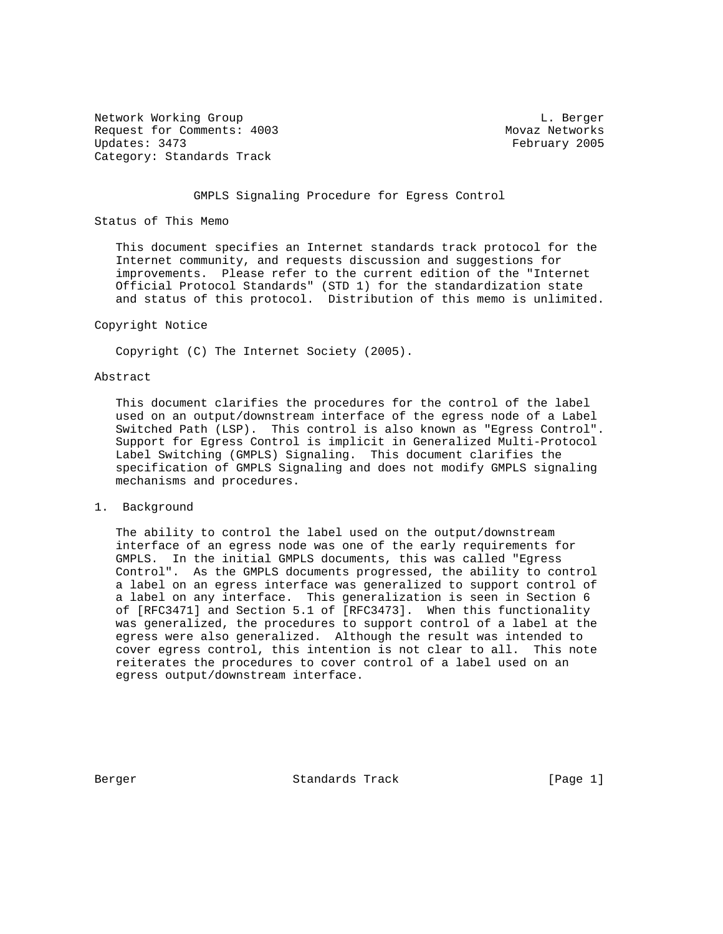Network Working Group and the contract of the contract of the contract of the contract of the contract of the contract of the contract of the contract of the contract of the contract of the contract of the contract of the Request for Comments: 4003 Movaz Networks<br>
Updates: 3473 Movaz Networks (1995) Category: Standards Track

February 2005

#### GMPLS Signaling Procedure for Egress Control

Status of This Memo

 This document specifies an Internet standards track protocol for the Internet community, and requests discussion and suggestions for improvements. Please refer to the current edition of the "Internet Official Protocol Standards" (STD 1) for the standardization state and status of this protocol. Distribution of this memo is unlimited.

#### Copyright Notice

Copyright (C) The Internet Society (2005).

## Abstract

 This document clarifies the procedures for the control of the label used on an output/downstream interface of the egress node of a Label Switched Path (LSP). This control is also known as "Egress Control". Support for Egress Control is implicit in Generalized Multi-Protocol Label Switching (GMPLS) Signaling. This document clarifies the specification of GMPLS Signaling and does not modify GMPLS signaling mechanisms and procedures.

# 1. Background

 The ability to control the label used on the output/downstream interface of an egress node was one of the early requirements for GMPLS. In the initial GMPLS documents, this was called "Egress Control". As the GMPLS documents progressed, the ability to control a label on an egress interface was generalized to support control of a label on any interface. This generalization is seen in Section 6 of [RFC3471] and Section 5.1 of [RFC3473]. When this functionality was generalized, the procedures to support control of a label at the egress were also generalized. Although the result was intended to cover egress control, this intention is not clear to all. This note reiterates the procedures to cover control of a label used on an egress output/downstream interface.

Berger Standards Track [Page 1]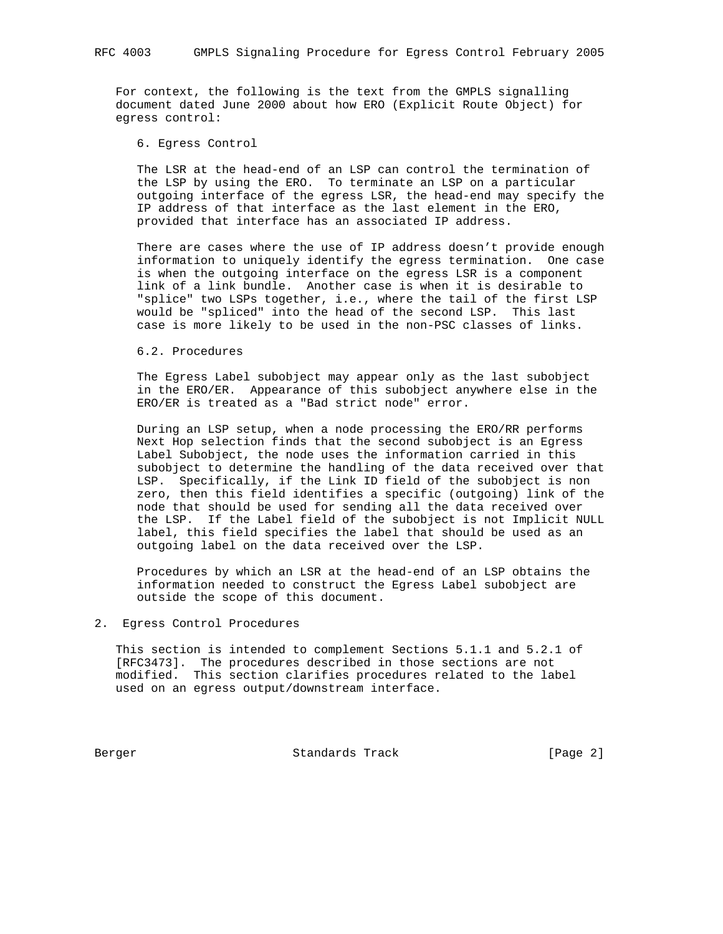For context, the following is the text from the GMPLS signalling document dated June 2000 about how ERO (Explicit Route Object) for egress control:

### 6. Egress Control

 The LSR at the head-end of an LSP can control the termination of the LSP by using the ERO. To terminate an LSP on a particular outgoing interface of the egress LSR, the head-end may specify the IP address of that interface as the last element in the ERO, provided that interface has an associated IP address.

 There are cases where the use of IP address doesn't provide enough information to uniquely identify the egress termination. One case is when the outgoing interface on the egress LSR is a component link of a link bundle. Another case is when it is desirable to "splice" two LSPs together, i.e., where the tail of the first LSP would be "spliced" into the head of the second LSP. This last case is more likely to be used in the non-PSC classes of links.

#### 6.2. Procedures

 The Egress Label subobject may appear only as the last subobject in the ERO/ER. Appearance of this subobject anywhere else in the ERO/ER is treated as a "Bad strict node" error.

 During an LSP setup, when a node processing the ERO/RR performs Next Hop selection finds that the second subobject is an Egress Label Subobject, the node uses the information carried in this subobject to determine the handling of the data received over that LSP. Specifically, if the Link ID field of the subobject is non zero, then this field identifies a specific (outgoing) link of the node that should be used for sending all the data received over the LSP. If the Label field of the subobject is not Implicit NULL label, this field specifies the label that should be used as an outgoing label on the data received over the LSP.

 Procedures by which an LSR at the head-end of an LSP obtains the information needed to construct the Egress Label subobject are outside the scope of this document.

# 2. Egress Control Procedures

 This section is intended to complement Sections 5.1.1 and 5.2.1 of [RFC3473]. The procedures described in those sections are not modified. This section clarifies procedures related to the label used on an egress output/downstream interface.

Berger Standards Track [Page 2]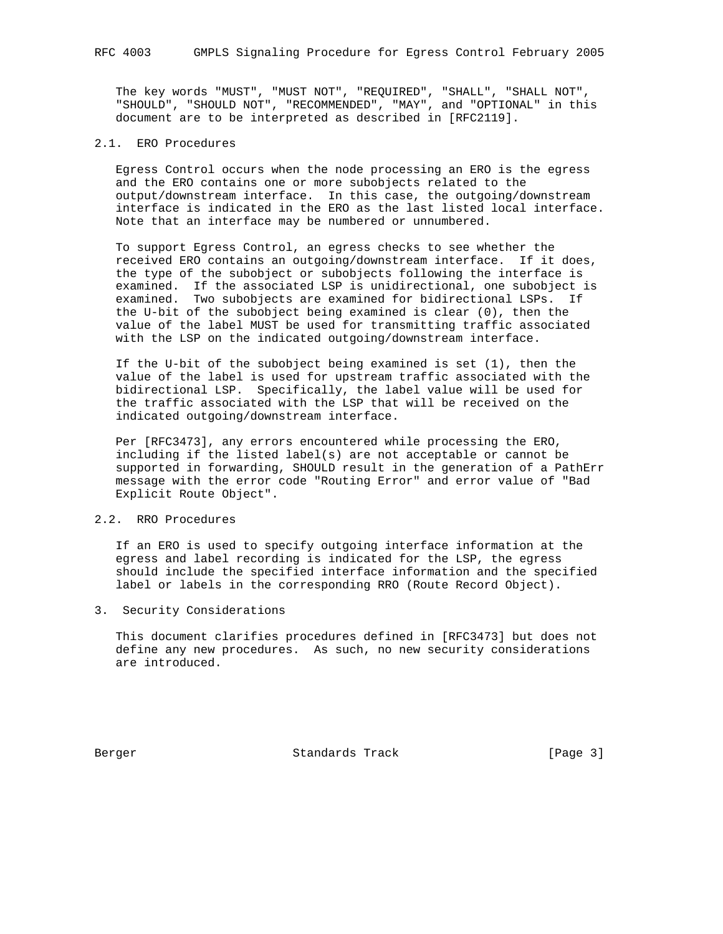The key words "MUST", "MUST NOT", "REQUIRED", "SHALL", "SHALL NOT", "SHOULD", "SHOULD NOT", "RECOMMENDED", "MAY", and "OPTIONAL" in this document are to be interpreted as described in [RFC2119].

## 2.1. ERO Procedures

 Egress Control occurs when the node processing an ERO is the egress and the ERO contains one or more subobjects related to the output/downstream interface. In this case, the outgoing/downstream interface is indicated in the ERO as the last listed local interface. Note that an interface may be numbered or unnumbered.

 To support Egress Control, an egress checks to see whether the received ERO contains an outgoing/downstream interface. If it does, the type of the subobject or subobjects following the interface is examined. If the associated LSP is unidirectional, one subobject is examined. Two subobjects are examined for bidirectional LSPs. If the U-bit of the subobject being examined is clear (0), then the value of the label MUST be used for transmitting traffic associated with the LSP on the indicated outgoing/downstream interface.

 If the U-bit of the subobject being examined is set (1), then the value of the label is used for upstream traffic associated with the bidirectional LSP. Specifically, the label value will be used for the traffic associated with the LSP that will be received on the indicated outgoing/downstream interface.

 Per [RFC3473], any errors encountered while processing the ERO, including if the listed label(s) are not acceptable or cannot be supported in forwarding, SHOULD result in the generation of a PathErr message with the error code "Routing Error" and error value of "Bad Explicit Route Object".

## 2.2. RRO Procedures

 If an ERO is used to specify outgoing interface information at the egress and label recording is indicated for the LSP, the egress should include the specified interface information and the specified label or labels in the corresponding RRO (Route Record Object).

3. Security Considerations

 This document clarifies procedures defined in [RFC3473] but does not define any new procedures. As such, no new security considerations are introduced.

Berger Standards Track [Page 3]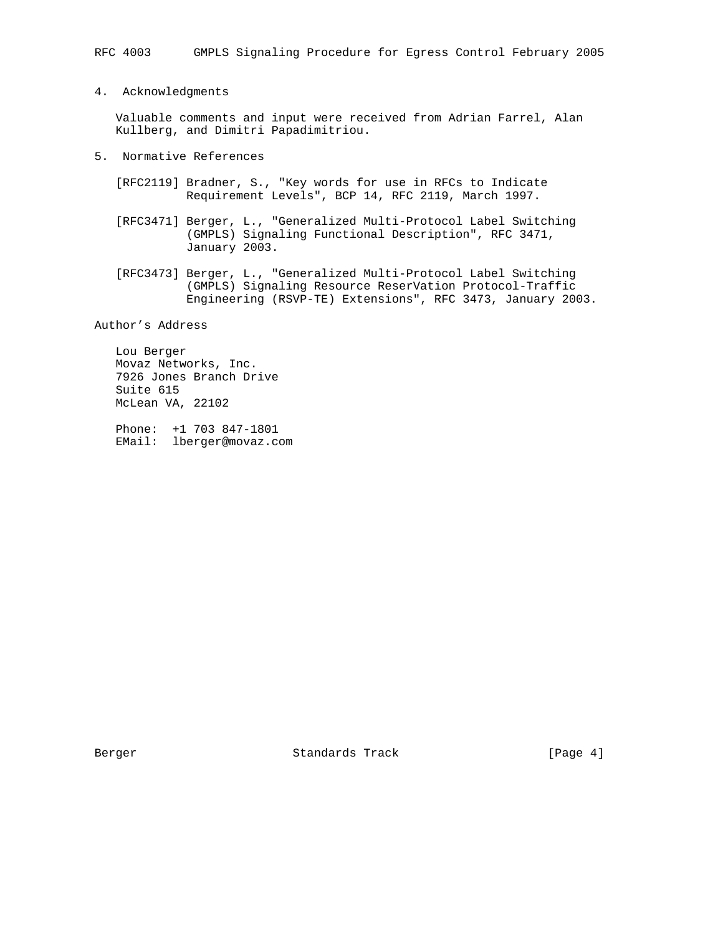4. Acknowledgments

 Valuable comments and input were received from Adrian Farrel, Alan Kullberg, and Dimitri Papadimitriou.

- 5. Normative References
	- [RFC2119] Bradner, S., "Key words for use in RFCs to Indicate Requirement Levels", BCP 14, RFC 2119, March 1997.
	- [RFC3471] Berger, L., "Generalized Multi-Protocol Label Switching (GMPLS) Signaling Functional Description", RFC 3471, January 2003.
	- [RFC3473] Berger, L., "Generalized Multi-Protocol Label Switching (GMPLS) Signaling Resource ReserVation Protocol-Traffic Engineering (RSVP-TE) Extensions", RFC 3473, January 2003.

Author's Address

 Lou Berger Movaz Networks, Inc. 7926 Jones Branch Drive Suite 615 McLean VA, 22102

 Phone: +1 703 847-1801 EMail: lberger@movaz.com

Berger Standards Track [Page 4]